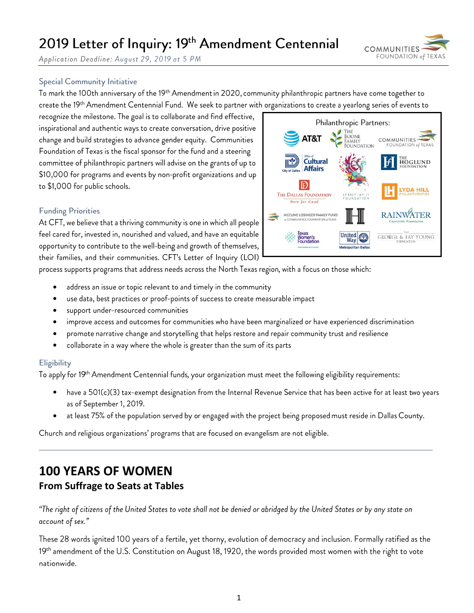# 2019 Letter of Inquiry: 19th Amendment Centennial

**COMMUNITIES** FOUNDATION of TE)

Application Deadline: August 29, 2019 at 5 PM

### **Special Community Initiative**

To mark the 100th anniversary of the 19th Amendment in 2020, community philanthropic partners have come together to create the 19th Amendment Centennial Fund. We seek to partner with organizations to create a yearlong series of events to

recognize the milestone. The goal is to collaborate and find effective, inspirational and authentic ways to create conversation, drive positive change and build strategies to advance gender equity. Communities Foundation of Texas is the fiscal sponsor for the fund and a steering committee of philanthropic partners will advise on the grants of up to \$10,000 for programs and events by non-profit organizations and up to \$1,000 for public schools.

### **Funding Priorities**

At CFT, we believe that a thriving community is one in which all people feel cared for, invested in, nourished and valued, and have an equitable opportunity to contribute to the well-being and growth of themselves, their families, and their communities. CFT's Letter of Inquiry (LOI)

process supports programs that address needs across the North Texas region, with a focus on those which:

- address an issue or topic relevant to and timely in the community •
- use data, best practices or proof-points of success to create measurable impact •
- support under-resourced communities
- improve access and outcomes for communities who have been marginalized or have experienced discrimination •
- promote narrative change and storytelling that helps restore and repair community trust and resilience
- collaborate in a way where the whole is greater than the sum of its parts

### Eligibility

To apply for 19<sup>th</sup> Amendment Centennial funds, your organization must meet the following eligibility requirements:

- have a 501(c)(3) tax-exempt designation from the Internal Revenue Service that has been active for at least two years as of September 1, 2019.
- at least 75% of the population served by or engaged with the project being proposed must reside in Dallas County.

Church and religious organizations' programs that are focused on evangelism are not eligible.

### **100 YEARS OF WOMEN From Suffrage to Seats at Tables**

"The right of citizens of the United States to vote shall not be denied or abridged by the United States or by any state on account of sex."

These 28 words ignited 100 years of a fertile, yet thorny, evolution of democracy and inclusion. Formally ratified as the 19th amendment of the U.S. Constitution on August 18, 1920, the words provided most women with the right to vote nationwide.

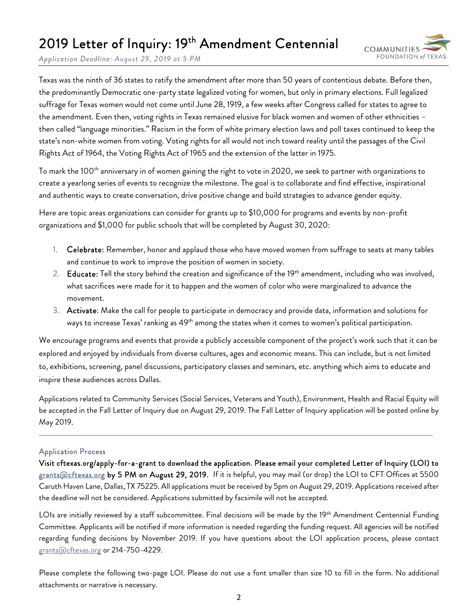# 2019 Letter of Inquiry: 19<sup>th</sup> Amendment Centennial



*Application Deadline: August 29, 2019 at 5 PM*

Texas was the ninth of 36 states to ratify the amendment after more than 50 years of contentious debate. Before then, the predominantly Democratic one-party state legalized voting for women, but only in primary elections. Full legalized suffrage for Texas women would not come until June 28, 1919, a few weeks after Congress called for states to agree to the amendment. Even then, voting rights in Texas remained elusive for black women and women of other ethnicities – then called "language minorities." Racism in the form of white primary election laws and poll taxes continued to keep the state's non-white women from voting. Voting rights for all would not inch toward reality until the passages of the Civil Rights Act of 1964, the Voting Rights Act of 1965 and the extension of the latter in 1975.

To mark the 100<sup>th</sup> anniversary in of women gaining the right to vote in 2020, we seek to partner with organizations to create a yearlong series of events to recognize the milestone. The goal is to collaborate and find effective, inspirational and authentic ways to create conversation, drive positive change and build strategies to advance gender equity.

Here are topic areas organizations can consider for grants up to \$10,000 for programs and events by non-profit organizations and \$1,000 for public schools that will be completed by August 30, 2020:

- 1. Celebrate: Remember, honor and applaud those who have moved women from suffrage to seats at many tables and continue to work to improve the position of women in society.
- 2. Educate: Tell the story behind the creation and significance of the 19<sup>th</sup> amendment, including who was involved, what sacrifices were made for it to happen and the women of color who were marginalized to advance the movement.
- 3. Activate: Make the call for people to participate in democracy and provide data, information and solutions for ways to increase Texas' ranking as 49<sup>th</sup> among the states when it comes to women's political participation.

We encourage programs and events that provide a publicly accessible component of the project's work such that it can be explored and enjoyed by individuals from diverse cultures, ages and economic means. This can include, but is not limited to, exhibitions, screening, panel discussions, participatory classes and seminars, etc. anything which aims to educate and inspire these audiences across Dallas.

Applications related to Community Services (Social Services, Veterans and Youth), Environment, Health and Racial Equity will be accepted in the Fall Letter of Inquiry due on August 29, 2019. The Fall Letter of Inquiry application will be posted online by May 2019.

#### Application Process

Visit cftexas.org/apply-for-a-grant to download the application. Please email your completed Letter of Inquiry (LOI) to g<u>rants@cftexas.org</u> by 5 PM on August 29, 2019. If it is helpful, you may mail (or drop) the LOI to CFT Offices at 5500 Caruth Haven Lane, Dallas, TX 75225. All applications must be received by 5pm on August 29, 2019. Applications received after the deadline will not be considered. Applications submitted by facsimile will not be accepted.

LOIs are initially reviewed by a staff subcommittee. Final decisions will be made by the 19<sup>th</sup> Amendment Centennial Funding Committee. Applicants will be notified if more information is needed regarding the funding request. All agencies will be notified regarding funding decisions by November 2019. If you have questions about the LOI application process, please contact grants@cftexas.org or 214-750-4229.

Please complete the following two-page LOI. Please do not use a font smaller than size 10 to fill in the form. No additional attachments or narrative is necessary.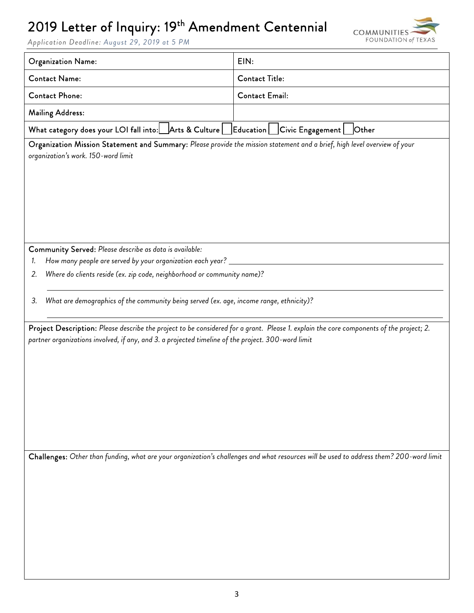## 2019 Letter of Inquiry: 19<sup>th</sup> Amendment Centennial



*Application Deadline: August 29, 2019 at 5 PM*

| <b>Organization Name:</b>                                                                                                                                                                                                                                                                                       | EIN:                                                                                                                                    |  |
|-----------------------------------------------------------------------------------------------------------------------------------------------------------------------------------------------------------------------------------------------------------------------------------------------------------------|-----------------------------------------------------------------------------------------------------------------------------------------|--|
| <b>Contact Name:</b>                                                                                                                                                                                                                                                                                            | <b>Contact Title:</b>                                                                                                                   |  |
| <b>Contact Phone:</b>                                                                                                                                                                                                                                                                                           | <b>Contact Email:</b>                                                                                                                   |  |
| <b>Mailing Address:</b>                                                                                                                                                                                                                                                                                         |                                                                                                                                         |  |
| What category does your LOI fall into: Arts & Culture   Education   Civic Engagement                                                                                                                                                                                                                            | Other                                                                                                                                   |  |
| Organization Mission Statement and Summary: Please provide the mission statement and a brief, high level overview of your<br>organization's work. 150-word limit                                                                                                                                                |                                                                                                                                         |  |
| Community Served: Please describe as data is available:<br>How many people are served by your organization each year? _<br>1.<br>Where do clients reside (ex. zip code, neighborhood or community name)?<br>2.<br>What are demographics of the community being served (ex. age, income range, ethnicity)?<br>3. |                                                                                                                                         |  |
|                                                                                                                                                                                                                                                                                                                 |                                                                                                                                         |  |
| Project Description: Please describe the project to be considered for a grant. Please 1. explain the core components of the project; 2.<br>partner organizations involved, if any, and 3. a projected timeline of the project. 300-word limit                                                                   |                                                                                                                                         |  |
|                                                                                                                                                                                                                                                                                                                 | Challenges: Other than funding, what are your organization's challenges and what resources will be used to address them? 200-word limit |  |
|                                                                                                                                                                                                                                                                                                                 |                                                                                                                                         |  |